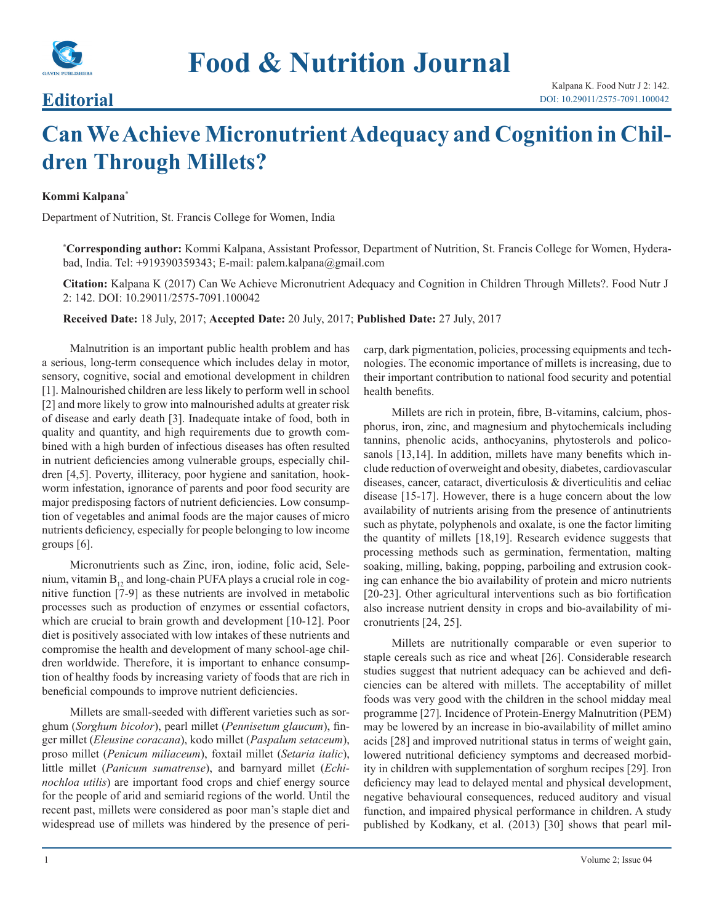

## **Editorial**

## **Can We Achieve Micronutrient Adequacy and Cognition in Children Through Millets?**

## **Kommi Kalpana\***

Department of Nutrition, St. Francis College for Women, India

**\* Corresponding author:** Kommi Kalpana, Assistant Professor, Department of Nutrition, St. Francis College for Women, Hyderabad, India. Tel: +919390359343; E-mail: palem.kalpana@gmail.com

**Citation:** Kalpana K (2017) Can We Achieve Micronutrient Adequacy and Cognition in Children Through Millets?. Food Nutr J 2: 142. DOI: 10.29011/2575-7091.100042

**Received Date:** 18 July, 2017; **Accepted Date:** 20 July, 2017; **Published Date:** 27 July, 2017

Malnutrition is an important public health problem and has a serious, long-term consequence which includes delay in motor, sensory, cognitive, social and emotional development in children [1]. Malnourished children are less likely to perform well in school [2] and more likely to grow into malnourished adults at greater risk of disease and early death [3]. Inadequate intake of food, both in quality and quantity, and high requirements due to growth combined with a high burden of infectious diseases has often resulted in nutrient deficiencies among vulnerable groups, especially children [4,5]. Poverty, illiteracy, poor hygiene and sanitation, hookworm infestation, ignorance of parents and poor food security are major predisposing factors of nutrient deficiencies. Low consumption of vegetables and animal foods are the major causes of micro nutrients deficiency, especially for people belonging to low income groups [6].

Micronutrients such as Zinc, iron, iodine, folic acid, Selenium, vitamin  $B_{12}$  and long-chain PUFA plays a crucial role in cognitive function [7-9] as these nutrients are involved in metabolic processes such as production of enzymes or essential cofactors, which are crucial to brain growth and development [10-12]. Poor diet is positively associated with low intakes of these nutrients and compromise the health and development of many school-age children worldwide. Therefore, it is important to enhance consumption of healthy foods by increasing variety of foods that are rich in beneficial compounds to improve nutrient deficiencies.

Millets are small-seeded with different varieties such as sorghum (*Sorghum bicolor*), pearl millet (*Pennisetum glaucum*), finger millet (*Eleusine coracana*), kodo millet (*Paspalum setaceum*), proso millet (*Penicum miliaceum*), foxtail millet (*Setaria italic*), little millet (*Panicum sumatrense*), and barnyard millet (*Echinochloa utilis*) are important food crops and chief energy source for the people of arid and semiarid regions of the world. Until the recent past, millets were considered as poor man's staple diet and widespread use of millets was hindered by the presence of pericarp, dark pigmentation, policies, processing equipments and technologies. The economic importance of millets is increasing, due to their important contribution to national food security and potential health benefits.

Millets are rich in protein, fibre, B-vitamins, calcium, phosphorus, iron, zinc, and magnesium and phytochemicals including tannins, phenolic acids, anthocyanins, phytosterols and policosanols [13,14]. In addition, millets have many benefits which include reduction of overweight and obesity, diabetes, cardiovascular diseases, cancer, cataract, diverticulosis & diverticulitis and celiac disease [15-17]. However, there is a huge concern about the low availability of nutrients arising from the presence of antinutrients such as phytate, polyphenols and oxalate, is one the factor limiting the quantity of millets [18,19]. Research evidence suggests that processing methods such as germination, fermentation, malting soaking, milling, baking, popping, parboiling and extrusion cooking can enhance the bio availability of protein and micro nutrients [20-23]. Other agricultural interventions such as bio fortification also increase nutrient density in crops and bio-availability of micronutrients [24, 25].

Millets are nutritionally comparable or even superior to staple cereals such as rice and wheat [26]. Considerable research studies suggest that nutrient adequacy can be achieved and deficiencies can be altered with millets. The acceptability of millet foods was very good with the children in the school midday meal programme [27]*.* Incidence of Protein-Energy Malnutrition (PEM) may be lowered by an increase in bio-availability of millet amino acids [28] and improved nutritional status in terms of weight gain, lowered nutritional deficiency symptoms and decreased morbidity in children with supplementation of sorghum recipes [29]*.* Iron deficiency may lead to delayed mental and physical development, negative behavioural consequences, reduced auditory and visual function, and impaired physical performance in children. A study published by Kodkany, et al. (2013) [30] shows that pearl mil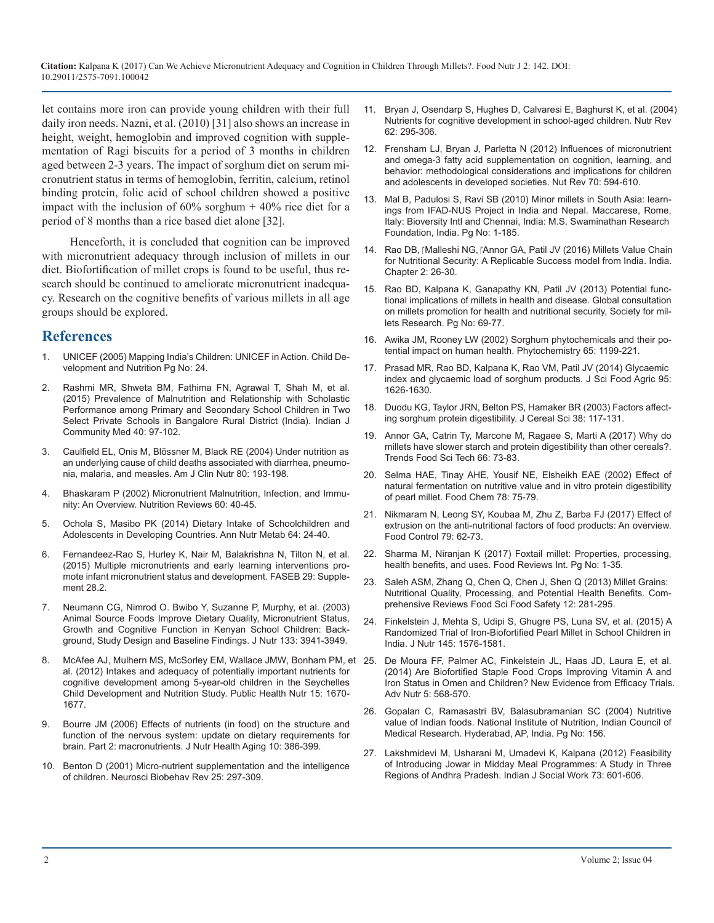**Citation:** Kalpana K (2017) Can We Achieve Micronutrient Adequacy and Cognition in Children Through Millets?. Food Nutr J 2: 142. DOI: 10.29011/2575-7091.100042

let contains more iron can provide young children with their full daily iron needs. Nazni, et al. (2010) [31] also shows an increase in height, weight, hemoglobin and improved cognition with supplementation of Ragi biscuits for a period of 3 months in children aged between 2-3 years. The impact of sorghum diet on serum micronutrient status in terms of hemoglobin, ferritin, calcium, retinol binding protein, folic acid of school children showed a positive impact with the inclusion of  $60\%$  sorghum  $+40\%$  rice diet for a period of 8 months than a rice based diet alone [32].

Henceforth, it is concluded that cognition can be improved with micronutrient adequacy through inclusion of millets in our diet. Biofortification of millet crops is found to be useful, thus research should be continued to ameliorate micronutrient inadequacy. Research on the cognitive benefits of various millets in all age groups should be explored.

## **References**

- 1. [UNICEF \(2005\) Mapping India's Children: UNICEF in Action. Child De](https://issuu.com/myriadeditions/docs/unicef_india_children/20)velopment and Nutrition Pg No: 24.
- Rashmi MR, Shweta BM, Fathima FN, Agrawal T, Shah M, et al. (2015) Prevalence of Malnutrition and Relationship with Scholastic [Performance among Primary and Secondary School Children in Two](https://www.ncbi.nlm.nih.gov/pubmed/25861170https:/www.ncbi.nlm.nih.gov/pmc/articles/PMC4389510/)  [Select Private Schools in Bangalore Rural District \(India\). Indian J](https://www.ncbi.nlm.nih.gov/pubmed/25861170https:/www.ncbi.nlm.nih.gov/pmc/articles/PMC4389510/)  [Community Med 40: 97-102.](https://www.ncbi.nlm.nih.gov/pubmed/25861170https:/www.ncbi.nlm.nih.gov/pmc/articles/PMC4389510/)
- 3. [Caulfield EL, Onis M, Blössner M, Black RE \(2004\) Under nutrition as](https://www.ncbi.nlm.nih.gov/pubmed/15213048)  an underlying cause of child deaths associated with diarrhea, pneumo[nia, malaria, and measles. Am J Clin Nutr 80: 193-198.](https://www.ncbi.nlm.nih.gov/pubmed/15213048)
- 4. [Bhaskaram P \(2002\) Micronutrient Malnutrition, Infection, and Immu](https://www.ncbi.nlm.nih.gov/pubmed/12035857)nity: An Overview. Nutrition Reviews 60: 40-45.
- 5. [Ochola S, Masibo PK \(2014\) Dietary Intake of Schoolchildren and](https://www.ncbi.nlm.nih.gov/pubmed/25341871)  Adolescents in Developing Countries. Ann Nutr Metab 64: 24-40.
- 6. [Fernandeez-Rao S, Hurley K, Nair M, Balakrishna N, Tilton N, et al.](http://www.fasebj.org/content/29/1_Supplement/28.2http:/www.fasebj.org/search?author1=Sylvia+Fernandeez-Rao&sortspec=date&submit=Submit)  (2015) Multiple micronutrients and early learning interventions pro[mote infant micronutrient status and development. FASEB 29: Supple](http://www.fasebj.org/content/29/1_Supplement/28.2http:/www.fasebj.org/search?author1=Sylvia+Fernandeez-Rao&sortspec=date&submit=Submit)ment [28.2.](http://www.fasebj.org/content/29/1_Supplement/28.2http:/www.fasebj.org/search?author1=Sylvia+Fernandeez-Rao&sortspec=date&submit=Submit)
- 7. [Neumann CG, Nimrod O. Bwibo Y, Suzanne P, Murphy, et al. \(2003\)](https://www.ncbi.nlm.nih.gov/pubmed/14672294)  Animal Source Foods Improve Dietary Quality, Micronutrient Status, [Growth and Cognitive Function in Kenyan School Children: Back](https://www.ncbi.nlm.nih.gov/pubmed/14672294)[ground, Study Design and Baseline Findings. J Nutr 133: 3941-3949.](https://www.ncbi.nlm.nih.gov/pubmed/14672294)
- 8. [McAfee AJ, Mulhern MS, McSorley EM, Wallace JMW, Bonham PM, e](https://www.ncbi.nlm.nih.gov/pubmed/22321870)t 25. [De Moura FF, Palmer AC, Finkelstein JL, Haas JD, Laura E, et al.](http://advances.nutrition.org/content/5/5/568.abstract)  al. (2012) Intakes and adequacy of potentially important nutrients for [cognitive development among 5-year-old children in the Seychelles](https://www.ncbi.nlm.nih.gov/pubmed/22321870)  [Child Development and Nutrition Study. Public Health Nutr 15: 1670-](https://www.ncbi.nlm.nih.gov/pubmed/22321870) [1677](https://www.ncbi.nlm.nih.gov/pubmed/22321870).
- 9. [Bourre JM \(2006\) Effects of nutrients \(in food\) on the structure and](http://citeseerx.ist.psu.edu/viewdoc/download?doi=10.1.1.468.728&rep=rep1&type=pdf)  function of the nervous system: update on dietary requirements for [brain. Part 2: macronutrients. J Nutr Health Aging 10: 386-399](http://citeseerx.ist.psu.edu/viewdoc/download?doi=10.1.1.468.728&rep=rep1&type=pdf).
- 10. [Benton D \(2001\) Micro-nutrient supplementation and the intelligence](https://www.ncbi.nlm.nih.gov/pubmed/11445136)  of children. Neurosci Biobehav Rev 25: 297-309.
- 11. [Bryan J, Osendarp S, Hughes D, Calvaresi E, Baghurst K, et al. \(2004](https://www.ncbi.nlm.nih.gov/pubmed/15478684)) Nutrients for cognitive development in school-aged children. Nutr Rev [62: 295-306](https://www.ncbi.nlm.nih.gov/pubmed/15478684).
- 12. [Frensham LJ, Bryan J, Parletta N \(2012\) Influences of micronutrient](https://www.ncbi.nlm.nih.gov/pubmed/23035806)  and omega-3 fatty acid supplementation on cognition, learning, and [behavior: methodological considerations and implications for children](https://www.ncbi.nlm.nih.gov/pubmed/23035806)  [and adolescents in developed societies. Nut Rev 70: 594-610](https://www.ncbi.nlm.nih.gov/pubmed/23035806).
- 13. [Mal B, Padulosi S, Ravi SB \(2010\) Minor millets in South Asia: learn](http://millets.res.in/books/Minor_millets_in_South_Asia_1407.pdf)ings from IFAD-NUS Project in India and Nepal. Maccarese, Rome, [Italy: Bioversity Intl and Chennai, India: M.S. Swaminathan Research](http://millets.res.in/books/Minor_millets_in_South_Asia_1407.pdf)  [Foundation, India. Pg No: 1-185.](http://millets.res.in/books/Minor_millets_in_South_Asia_1407.pdf)
- 14. Rao DB, ¡Malleshi NG, ¡Annor GA, Patil JV (2016) Millets Value Chain for Nutritional Security: A Replicable Success model from India. India[.](https://books.google.co.in/books?id=yGsgDQAAQBAJ&printsec=frontcover&dq=Millets+Value+Chain+for+Nutritional+Security:+A+Replicable+Success&hl=en&sa=X&ved=0ahUKEwi0lJKLoJzVAhXLq48KHXTHC24Q6AEIIzAA#v=onepage&q=Millets Value Chain for Nutritional Se)  [Chapter 2: 26-30](https://books.google.co.in/books?id=yGsgDQAAQBAJ&printsec=frontcover&dq=Millets+Value+Chain+for+Nutritional+Security:+A+Replicable+Success&hl=en&sa=X&ved=0ahUKEwi0lJKLoJzVAhXLq48KHXTHC24Q6AEIIzAA#v=onepage&q=Millets Value Chain for Nutritional Se).
- 15. Rao BD, Kalpana K, Ganapathy KN, Patil JV (2013) Potential functional implications of millets in health and disease. Global consultation on millets promotion for health and nutritional security, Society for millets Research. Pg No: 69-77.
- 16. [Awika JM, Rooney LW \(2002\) Sorghum phytochemicals and their po](https://www.ncbi.nlm.nih.gov/pubmed/15184005http:/www.sciencedirect.com/science/journal/03088146/78/1)tential impact on human health. Phytochemistry 65: 1199-221.
- 17. [Prasad MR, Rao BD, Kalpana K, Rao VM, Patil JV \(2014\) Glycaemic](https://issuu.com/myriadeditions/docs/unicef_india_children/20)  index and glycaemic load of sorghum products. J Sci Food Agric 95[:](https://www.ncbi.nlm.nih.gov/pubmed/25092385)  [1626-1630](https://www.ncbi.nlm.nih.gov/pubmed/25092385).
- 18. [Duodu KG, Taylor JRN, Belton PS, Hamaker BR \(2003\) Factors affect](https://www.ncbi.nlm.nih.gov/pubmed/25861170https:/www.ncbi.nlm.nih.gov/pmc/articles/PMC4389510/)ing sorghum protein digestibility. J Cereal Sci 38: 117-131.
- 19. Annor GA, Catrin Ty, Marcone M, Ragaee S, Marti A (2017) Why do millets have slower starch and protein digestibility than other cereals?. [Trends Food Sci Tech](http://www.sciencedirect.com/science/journal/09242244) 66: 73-83.
- 20. [Selma HAE, Tinay AHE, Yousif NE, Elsheikh EAE \(2002\) Effect of](http://khartoumspace.uofk.edu/handle/123456789/17823?show=full)  natural fermentation on nutritive value and in vitro protein digestibility [of pearl millet. Food Chem 78: 75-79.](http://khartoumspace.uofk.edu/handle/123456789/17823?show=full)
- 21. Nikmaram N, Leong SY, Koubaa M, Zhu Z, Barba FJ (2017) Effect of [extrusion on the anti-nutritional factors of food products: An](https://www.ncbi.nlm.nih.gov/pubmed/25341871) overview. [Food Control](http://www.sciencedirect.com/science/journal/09567135) 79: 62-73.
- 22. [Sharma M, Niranjan K \(2017\) Foxtail millet: Properties, processing,](http://doi.org/10.29011/2575-7091. 100042)  [health benefits, and uses. Food Reviews Int. Pg No: 1-35](http://www.fasebj.org/content/29/1_Supplement/28.2http:/www.fasebj.org/search?author1=Sylvia+Fernandeez-Rao&sortspec=date&submit=Submit).
- 23. [Saleh ASM, Zhang Q, Chen Q, Chen J, Shen Q \(2013\) Millet Grains:](http://onlinelibrary.wiley.com/doi/10.1111/1541-4337.12012/abstract)  Nutritional Quality, Processing, and Potential Health Benefits. Com[prehensive Reviews Food Sci Food Safety 12: 281-295.](http://onlinelibrary.wiley.com/doi/10.1111/1541-4337.12012/abstract)
- 24. [Finkelstein J, Mehta S, Udipi S, Ghugre PS, Luna SV, et al. \(2015\) A](https://www.ncbi.nlm.nih.gov/pubmed/25948782) Randomized Trial of Iron-Biofortified Pearl Millet in School Children in [India. J Nutr 145: 1576-1581](https://www.ncbi.nlm.nih.gov/pubmed/25948782).
- [\(2014\) Are Biofortified Staple Food Crops Improving Vitamin A and](https://www.ncbi.nlm.nih.gov/pubmed/22321870)  [Iron Status in Omen and Children? New Evidence from Efficacy Trials](http://advances.nutrition.org/content/5/5/568.abstract). [Adv Nutr 5: 568-570](http://advances.nutrition.org/content/5/5/568.abstract).
- 26. Gopalan C, Ramasastri BV, Balasubramanian SC (2004) Nutritive value of Indian foods. National Institute of Nutrition, Indian Council of [Medical Research. Hyderabad, AP, India. Pg No: 156.](http://citeseerx.ist.psu.edu/viewdoc/download?doi=10.1.1.468.728&rep=rep1&type=pdf)
- 27. Lakshmidevi M, Usharani M, Umadevi K, Kalpana (2012) Feasibility of Introducing Jowar in Midday Meal Programmes: A Study in Three [Regions of Andhra Pradesh. Indian J Social Work 73: 601-606.](https://www.ncbi.nlm.nih.gov/pubmed/11445136)